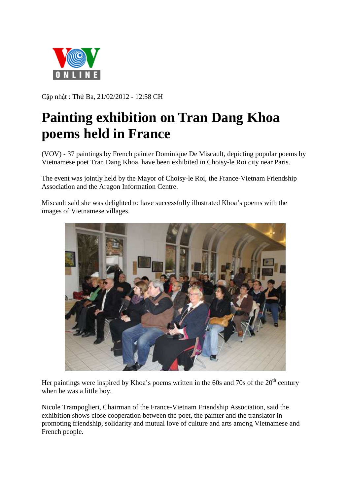

Cập nhật : Thứ Ba, 21/02/2012 - 12:58 CH

## **Painting exhibition on Tran Dang Khoa poems held in France**

(VOV) - 37 paintings by French painter Dominique De Miscault, depicting popular poems by Vietnamese poet Tran Dang Khoa, have been exhibited in Choisy-le Roi city near Paris.

The event was jointly held by the Mayor of Choisy-le Roi, the France-Vietnam Friendship Association and the Aragon Information Centre.

Miscault said she was delighted to have successfully illustrated Khoa's poems with the images of Vietnamese villages.



Her paintings were inspired by Khoa's poems written in the 60s and 70s of the  $20<sup>th</sup>$  century when he was a little boy.

Nicole Trampoglieri, Chairman of the France-Vietnam Friendship Association, said the exhibition shows close cooperation between the poet, the painter and the translator in promoting friendship, solidarity and mutual love of culture and arts among Vietnamese and French people.